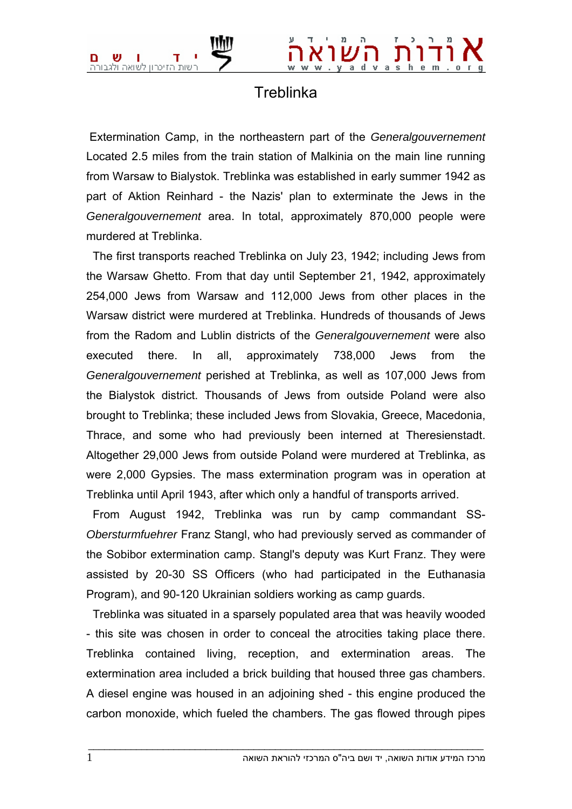

## **Treblinka**

 Extermination Camp, in the northeastern part of the *Generalgouvernement* Located 2.5 miles from the train station of Malkinia on the main line running from Warsaw to Bialystok. Treblinka was established in early summer 1942 as part of Aktion Reinhard - the Nazis' plan to exterminate the Jews in the *Generalgouvernement* area. In total, approximately 870,000 people were murdered at Treblinka.

 The first transports reached Treblinka on July 23, 1942; including Jews from the Warsaw Ghetto. From that day until September 21, 1942, approximately 254,000 Jews from Warsaw and 112,000 Jews from other places in the Warsaw district were murdered at Treblinka. Hundreds of thousands of Jews from the Radom and Lublin districts of the *Generalgouvernement* were also executed there. In all, approximately 738,000 Jews from the *Generalgouvernement* perished at Treblinka, as well as 107,000 Jews from the Bialystok district. Thousands of Jews from outside Poland were also brought to Treblinka; these included Jews from Slovakia, Greece, Macedonia, Thrace, and some who had previously been interned at Theresienstadt. Altogether 29,000 Jews from outside Poland were murdered at Treblinka, as were 2,000 Gypsies. The mass extermination program was in operation at Treblinka until April 1943, after which only a handful of transports arrived.

 From August 1942, Treblinka was run by camp commandant SS-*Obersturmfuehrer* Franz Stangl, who had previously served as commander of the Sobibor extermination camp. Stangl's deputy was Kurt Franz. They were assisted by 20-30 SS Officers (who had participated in the Euthanasia Program), and 90-120 Ukrainian soldiers working as camp guards.

 Treblinka was situated in a sparsely populated area that was heavily wooded - this site was chosen in order to conceal the atrocities taking place there. Treblinka contained living, reception, and extermination areas. The extermination area included a brick building that housed three gas chambers. A diesel engine was housed in an adjoining shed - this engine produced the carbon monoxide, which fueled the chambers. The gas flowed through pipes

 $\bot$  , and the set of the set of the set of the set of the set of the set of the set of the set of the set of the set of the set of the set of the set of the set of the set of the set of the set of the set of the set of t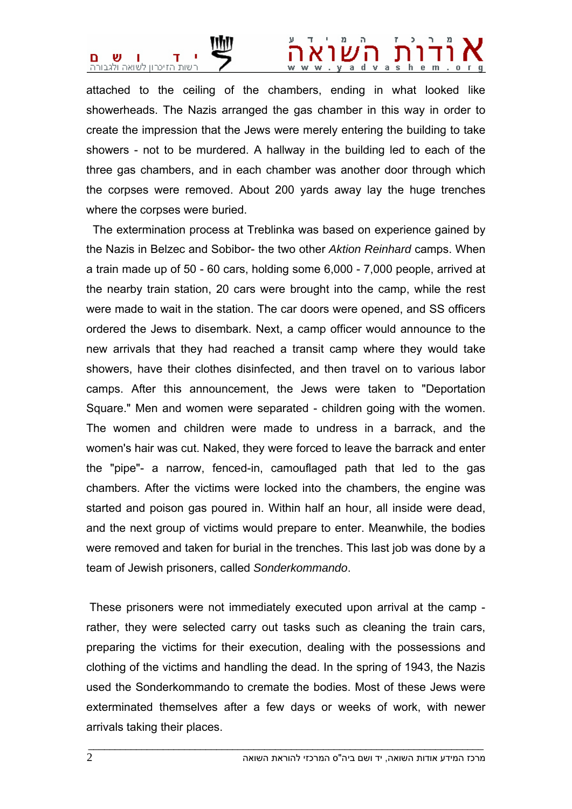

## dvas

attached to the ceiling of the chambers, ending in what looked like showerheads. The Nazis arranged the gas chamber in this way in order to create the impression that the Jews were merely entering the building to take showers - not to be murdered. A hallway in the building led to each of the three gas chambers, and in each chamber was another door through which the corpses were removed. About 200 yards away lay the huge trenches where the corpses were buried.

 The extermination process at Treblinka was based on experience gained by the Nazis in Belzec and Sobibor- the two other *Aktion Reinhard* camps. When a train made up of 50 - 60 cars, holding some 6,000 - 7,000 people, arrived at the nearby train station, 20 cars were brought into the camp, while the rest were made to wait in the station. The car doors were opened, and SS officers ordered the Jews to disembark. Next, a camp officer would announce to the new arrivals that they had reached a transit camp where they would take showers, have their clothes disinfected, and then travel on to various labor camps. After this announcement, the Jews were taken to "Deportation Square." Men and women were separated - children going with the women. The women and children were made to undress in a barrack, and the women's hair was cut. Naked, they were forced to leave the barrack and enter the "pipe"- a narrow, fenced-in, camouflaged path that led to the gas chambers. After the victims were locked into the chambers, the engine was started and poison gas poured in. Within half an hour, all inside were dead, and the next group of victims would prepare to enter. Meanwhile, the bodies were removed and taken for burial in the trenches. This last job was done by a team of Jewish prisoners, called *Sonderkommando*.

 These prisoners were not immediately executed upon arrival at the camp rather, they were selected carry out tasks such as cleaning the train cars, preparing the victims for their execution, dealing with the possessions and clothing of the victims and handling the dead. In the spring of 1943, the Nazis used the Sonderkommando to cremate the bodies. Most of these Jews were exterminated themselves after a few days or weeks of work, with newer arrivals taking their places.

 $\bot$  , and the set of the set of the set of the set of the set of the set of the set of the set of the set of the set of the set of the set of the set of the set of the set of the set of the set of the set of the set of t